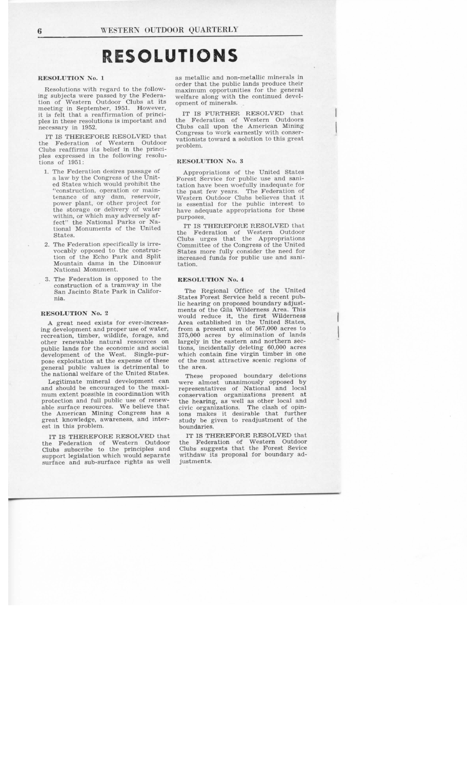# **RESOLUTIONS**

# **RESOLUTION No. 1**

Resolutions with regard to the following subjects were passed by the Federation of Western Outdoor Clubs at its meeting in September, 1951. However, it is felt that a reaffirmation of princi-<br>ples in these resolutions is important and<br>the Federation of Western Outdoors<br>necessary in 1952. Clubs call upon the American Mining ples in these resolutions is important and<br>necessary in 1952.

IT IS THEREFORE RESOLVED that the Federation of Western Outdoor Clubs reaffirms its belief in the princillubs reaffirms its belief in the princi-<br>Jes expressed in the following resolules expressed in<br>ions of 1951: tions of 1951:<br>1. The Federation desires passage of

- a law by the Congress of the United States which would prohibit the "construction, operation or maintenance of any dam, reservoir,<br>chance of any dam, reservoir, enance of any dam, reservor,<br>power plant, or other project for<br>he storage or delivery of water<br>within or which may adversely afwithin, or which may adversely affect" the National Parks or National Monuments of the United States.
- 2. The Federation specifically is irrevocably opposed to the construction of the Echo Park and Split Mountain dams in the Dinosaur<br>National Monument.
- 3. The Federation is opposed to the construction of a tramway in the San Jacinto State Park in California.

## **RESOLUTION No.** 2

A great need exists for ever-increasing development and proper use of water, recreation, timber, wildlife, forage, and other renewable natural resources on public lands for the economic and social development of the West. Single-purdevelopment of the West. Single-pur-<br>pose exploitation at the expense of these of the most attractive scenic regions of general public values is detrimental to the national welfare of the United States.

Legitimate mineral development can and should be encouraged to the maximum extent possible in coordination with protection and full public use of renewable surface resources. We believe that the American Mining Congress has a great knowledge, awareness, and inter-<br>est in this problem.

IT IS THEREFORE RESOLVED that the Federation of Western Outdoor Clubs subscribe to the principles and support legislation which would separate surface and sub-surface rights as well

as metallic and non-metallic minerals in order that the public lands produce their maximum opportunities for the general welfare along with the continued development of minerals.

IT IS FURTHER RESOLVED that the Federation of Western Outdoors Clubs call upon the American Mining Congress to work earnestly with conservationists toward a solution to this great problem.

#### **RESOLUTION No.** 3

Appropriations of the United States Forest Service for public use and sanitation have been woefully inadequate for the past few years. The Federation of Western Outdoor Clubs believes that it is essential for the public interest to have adequate appropriations for these<br>purposes.

IT IS THEREFORE RESOLVED that the Federation of Western Outdoor Clubs urges that the Appropriations Committee of the Congress of the United States more fully consider the need for increased funds for public use and sanitation.

## **RESOLUTION No. 4**

The Regional Office of the United States Forest Service held a recent public hearing on proposed boundary adjustments of the Gila Wilderness Area. This<br>would reduce it, the first Wilderness<br>Area established in the United States,<br>from a present area of 567,000 acres to<br>375,000 acres by elimination of lands<br>largely in the eastern and tions, incidentally deleting 60,000 acres of the most attractive scenic regions of the area.

These proposed boundary deletions were almost unanimously opposed by representatives of National and local conservation organizations present at the hearing, as well as other local and civic organizations. The clash of opinions makes it desirable that further study be given to readjustment of the boundaries.

IT IS THEREFORE RESOLVED that the Federation of Western Outdoor Clubs suggests that the Forest Sevice withdaw its proposal for boundary adjustments.